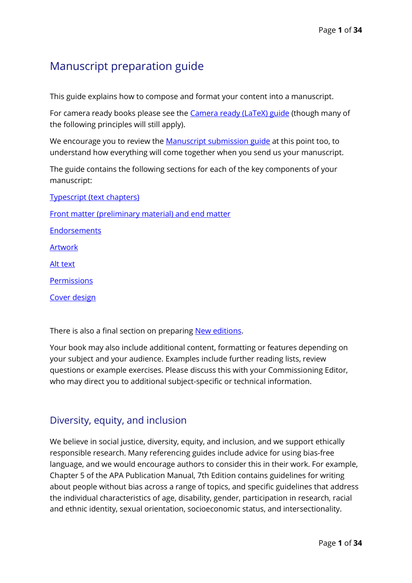# Manuscript preparation guide

This guide explains how to compose and format your content into a manuscript.

For camera ready books please see the **Camera ready (LaTeX)** guide (though many of the following principles will still apply).

We encourage you to review the [Manuscript submission guide](https://tandfbis.s3-us-west-2.amazonaws.com/rt-files/AUTHOR/Guidelines/Manuscript+submission+guide.pdf) at this point too, to understand how everything will come together when you send us your manuscript.

The guide contains the following sections for each of the key components of your manuscript:

Typescript [\(text chapters\)](#page-2-0)

[Front matter \(preliminary material\) and end matter](#page-11-0)

[Endorsements](#page-14-0)

[Artwork](#page-15-0)

[Alt text](#page-18-0)

[Permissions](#page-24-0)

[Cover design](#page-32-0)

There is also a final section on preparing [New editions.](#page-33-0)

Your book may also include additional content, formatting or features depending on your subject and your audience. Examples include further reading lists, review questions or example exercises. Please discuss this with your Commissioning Editor, who may direct you to additional subject-specific or technical information.

# Diversity, equity, and inclusion

We believe in social justice, diversity, equity, and inclusion, and we support ethically responsible research. Many referencing guides include advice for using bias-free language, and we would encourage authors to consider this in their work. For example, Chapter 5 of the APA Publication Manual, 7th Edition contains guidelines for writing about people without bias across a range of topics, and specific guidelines that address the individual characteristics of age, disability, gender, participation in research, racial and ethnic identity, sexual orientation, socioeconomic status, and intersectionality.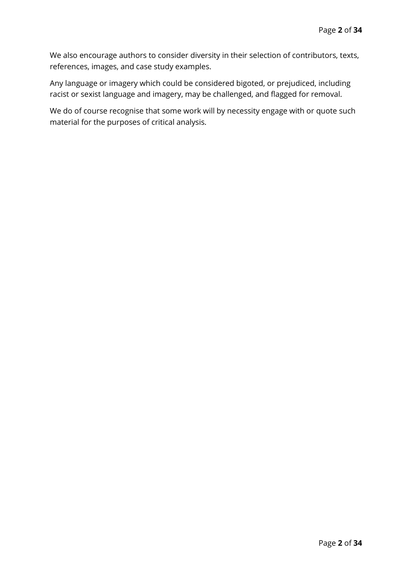We also encourage authors to consider diversity in their selection of contributors, texts, references, images, and case study examples.

Any language or imagery which could be considered bigoted, or prejudiced, including racist or sexist language and imagery, may be challenged, and flagged for removal.

<span id="page-1-0"></span>We do of course recognise that some work will by necessity engage with or quote such material for the purposes of critical analysis.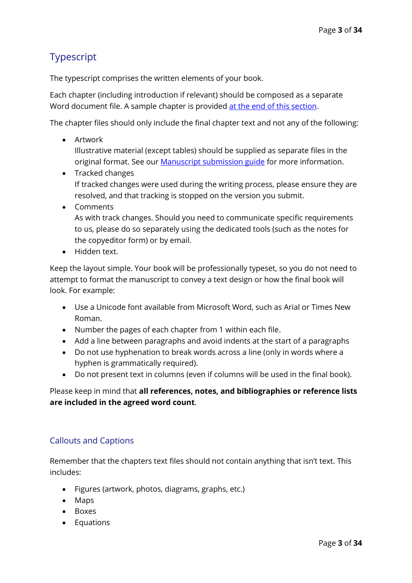# <span id="page-2-0"></span>Typescript

The typescript comprises the written elements of your book.

Each chapter (including introduction if relevant) should be composed as a separate Word document file. A sample chapter is provided [at the end of this section.](#page-8-0)

The chapter files should only include the final chapter text and not any of the following:

• Artwork

Illustrative material (except tables) should be supplied as separate files in the original format. See our **Manuscript submission guide** for more information.

- Tracked changes If tracked changes were used during the writing process, please ensure they are resolved, and that tracking is stopped on the version you submit.
- Comments As with track changes. Should you need to communicate specific requirements to us, please do so separately using the dedicated tools (such as the notes for the copyeditor form) or by email.
- Hidden text.

Keep the layout simple. Your book will be professionally typeset, so you do not need to attempt to format the manuscript to convey a text design or how the final book will look. For example:

- Use a Unicode font available from Microsoft Word, such as Arial or Times New Roman.
- Number the pages of each chapter from 1 within each file.
- Add a line between paragraphs and avoid indents at the start of a paragraphs
- Do not use hyphenation to break words across a line (only in words where a hyphen is grammatically required).
- Do not present text in columns (even if columns will be used in the final book).

Please keep in mind that **all references, notes, and bibliographies or reference lists are included in the agreed word count**.

# Callouts and Captions

Remember that the chapters text files should not contain anything that isn't text. This includes:

- Figures (artwork, photos, diagrams, graphs, etc.)
- Maps
- Boxes
- Equations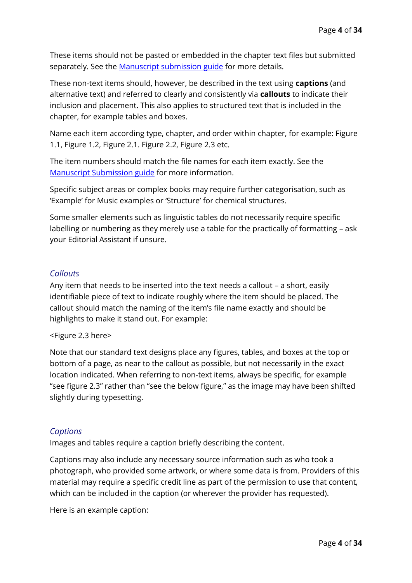These items should not be pasted or embedded in the chapter text files but submitted separately. See the [Manuscript submission guide](https://tandfbis.s3-us-west-2.amazonaws.com/rt-files/AUTHOR/Guidelines/Manuscript+submission+guide.pdf) for more details.

These non-text items should, however, be described in the text using **captions** (and alternative text) and referred to clearly and consistently via **callouts** to indicate their inclusion and placement. This also applies to structured text that is included in the chapter, for example tables and boxes.

Name each item according type, chapter, and order within chapter, for example: Figure 1.1, Figure 1.2, Figure 2.1. Figure 2.2, Figure 2.3 etc.

The item numbers should match the file names for each item exactly. See the [Manuscript Submission guide](https://tandfbis.s3-us-west-2.amazonaws.com/rt-files/AUTHOR/Guidelines/Manuscript+submission+guide.pdf) for more information.

Specific subject areas or complex books may require further categorisation, such as 'Example' for Music examples or 'Structure' for chemical structures.

Some smaller elements such as linguistic tables do not necessarily require specific labelling or numbering as they merely use a table for the practically of formatting – ask your Editorial Assistant if unsure.

## *Callouts*

Any item that needs to be inserted into the text needs a callout – a short, easily identifiable piece of text to indicate roughly where the item should be placed. The callout should match the naming of the item's file name exactly and should be highlights to make it stand out. For example:

### <Figure 2.3 here>

Note that our standard text designs place any figures, tables, and boxes at the top or bottom of a page, as near to the callout as possible, but not necessarily in the exact location indicated. When referring to non-text items, always be specific, for example "see figure 2.3" rather than "see the below figure," as the image may have been shifted slightly during typesetting.

### *Captions*

Images and tables require a caption briefly describing the content.

Captions may also include any necessary source information such as who took a photograph, who provided some artwork, or where some data is from. Providers of this material may require a specific credit line as part of the permission to use that content, which can be included in the caption (or wherever the provider has requested).

Here is an example caption: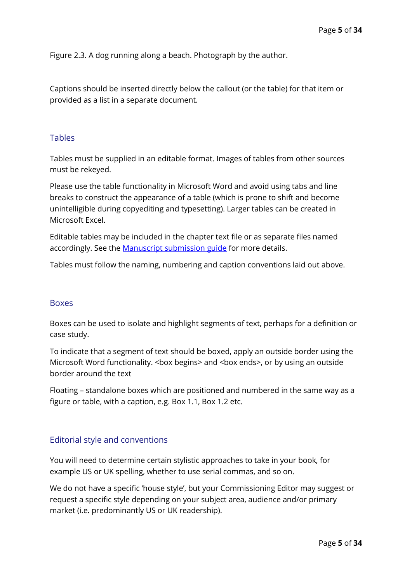Figure 2.3. A dog running along a beach. Photograph by the author.

Captions should be inserted directly below the callout (or the table) for that item or provided as a list in a separate document.

#### Tables

Tables must be supplied in an editable format. Images of tables from other sources must be rekeyed.

Please use the table functionality in Microsoft Word and avoid using tabs and line breaks to construct the appearance of a table (which is prone to shift and become unintelligible during copyediting and typesetting). Larger tables can be created in Microsoft Excel.

Editable tables may be included in the chapter text file or as separate files named accordingly. See the **Manuscript submission guide** for more details.

Tables must follow the naming, numbering and caption conventions laid out above.

#### **Boxes**

Boxes can be used to isolate and highlight segments of text, perhaps for a definition or case study.

To indicate that a segment of text should be boxed, apply an outside border using the Microsoft Word functionality. <br/>box begins> and <br/>show ends>, or by using an outside border around the text

Floating – standalone boxes which are positioned and numbered in the same way as a figure or table, with a caption, e.g. Box 1.1, Box 1.2 etc.

#### Editorial style and conventions

You will need to determine certain stylistic approaches to take in your book, for example US or UK spelling, whether to use serial commas, and so on.

We do not have a specific 'house style', but your Commissioning Editor may suggest or request a specific style depending on your subject area, audience and/or primary market (i.e. predominantly US or UK readership).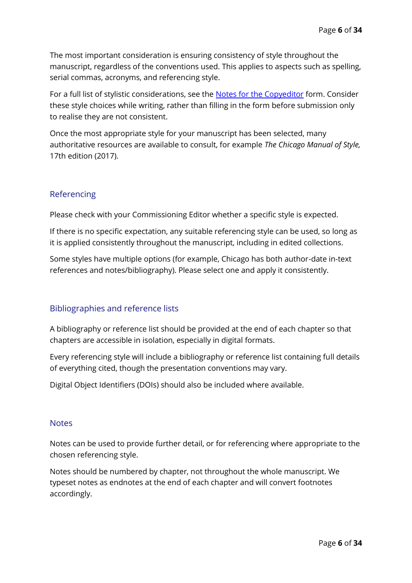The most important consideration is ensuring consistency of style throughout the manuscript, regardless of the conventions used. This applies to aspects such as spelling, serial commas, acronyms, and referencing style.

For a full list of stylistic considerations, see the [Notes for the Copyeditor](https://tandfbis.s3-us-west-2.amazonaws.com/rt-files/AUTHOR/Guidelines/Notes+for+the+copyeditor.docx) form. Consider these style choices while writing, rather than filling in the form before submission only to realise they are not consistent.

Once the most appropriate style for your manuscript has been selected, many authoritative resources are available to consult, for example *The Chicago Manual of Style,*  17th edition (2017).

# Referencing

Please check with your Commissioning Editor whether a specific style is expected.

If there is no specific expectation, any suitable referencing style can be used, so long as it is applied consistently throughout the manuscript, including in edited collections.

Some styles have multiple options (for example, Chicago has both author-date in-text references and notes/bibliography). Please select one and apply it consistently.

# Bibliographies and reference lists

A bibliography or reference list should be provided at the end of each chapter so that chapters are accessible in isolation, especially in digital formats.

Every referencing style will include a bibliography or reference list containing full details of everything cited, though the presentation conventions may vary.

Digital Object Identifiers (DOIs) should also be included where available.

### **Notes**

Notes can be used to provide further detail, or for referencing where appropriate to the chosen referencing style.

Notes should be numbered by chapter, not throughout the whole manuscript. We typeset notes as endnotes at the end of each chapter and will convert footnotes accordingly.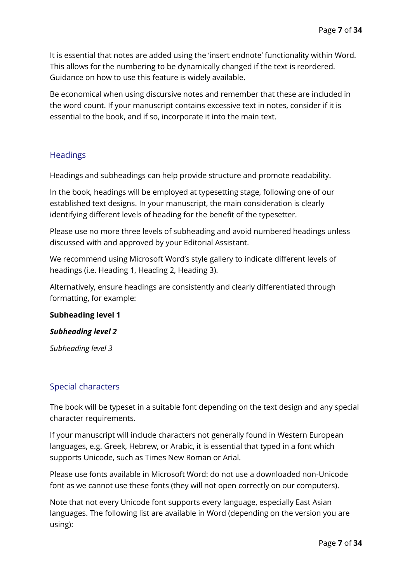It is essential that notes are added using the 'insert endnote' functionality within Word. This allows for the numbering to be dynamically changed if the text is reordered. Guidance on how to use this feature is widely available.

Be economical when using discursive notes and remember that these are included in the word count. If your manuscript contains excessive text in notes, consider if it is essential to the book, and if so, incorporate it into the main text.

## **Headings**

Headings and subheadings can help provide structure and promote readability.

In the book, headings will be employed at typesetting stage, following one of our established text designs. In your manuscript, the main consideration is clearly identifying different levels of heading for the benefit of the typesetter.

Please use no more three levels of subheading and avoid numbered headings unless discussed with and approved by your Editorial Assistant.

We recommend using Microsoft Word's style gallery to indicate different levels of headings (i.e. Heading 1, Heading 2, Heading 3).

Alternatively, ensure headings are consistently and clearly differentiated through formatting, for example:

#### **Subheading level 1**

#### *Subheading level 2*

*Subheading level 3*

### Special characters

The book will be typeset in a suitable font depending on the text design and any special character requirements.

If your manuscript will include characters not generally found in Western European languages, e.g. Greek, Hebrew, or Arabic, it is essential that typed in a font which supports Unicode, such as Times New Roman or Arial.

Please use fonts available in Microsoft Word: do not use a downloaded non-Unicode font as we cannot use these fonts (they will not open correctly on our computers).

Note that not every Unicode font supports every language, especially East Asian languages. The following list are available in Word (depending on the version you are using):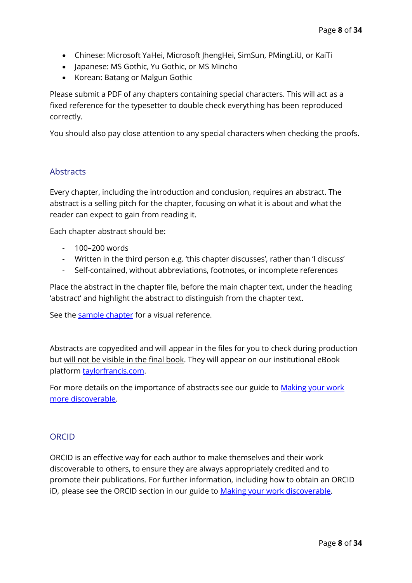- Chinese: Microsoft YaHei, Microsoft JhengHei, SimSun, PMingLiU, or KaiTi
- Japanese: MS Gothic, Yu Gothic, or MS Mincho
- Korean: Batang or Malgun Gothic

Please submit a PDF of any chapters containing special characters. This will act as a fixed reference for the typesetter to double check everything has been reproduced correctly.

You should also pay close attention to any special characters when checking the proofs.

## **Abstracts**

Every chapter, including the introduction and conclusion, requires an abstract. The abstract is a selling pitch for the chapter, focusing on what it is about and what the reader can expect to gain from reading it.

Each chapter abstract should be:

- 100–200 words
- Written in the third person e.g. 'this chapter discusses', rather than 'I discuss'
- Self-contained, without abbreviations, footnotes, or incomplete references

Place the abstract in the chapter file, before the main chapter text, under the heading 'abstract' and highlight the abstract to distinguish from the chapter text.

See the [sample chapter](#page-8-0) for a visual reference.

Abstracts are copyedited and will appear in the files for you to check during production but will not be visible in the final book. They will appear on our institutional eBook platform [taylorfrancis.com.](https://www.taylorfrancis.com/)

For more details on the importance of abstracts see our guide to Making your work [more discoverable.](https://tandfbis.s3-us-west-2.amazonaws.com/rt-files/AUTHOR/Guidelines/Discoverability+guide.pdf)

### ORCID

ORCID is an effective way for each author to make themselves and their work discoverable to others, to ensure they are always appropriately credited and to promote their publications. For further information, including how to obtain an ORCID iD, please see the ORCID section in our guide to Making your work discoverable.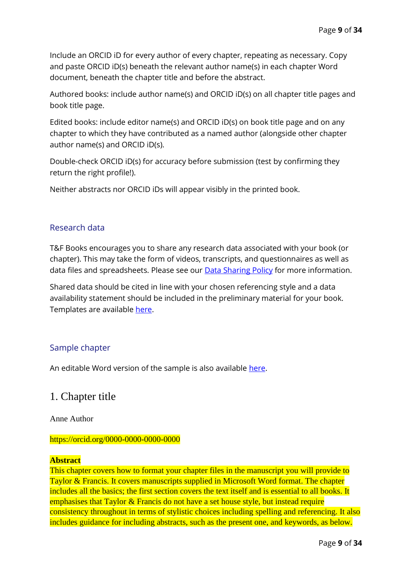Include an ORCID iD for every author of every chapter, repeating as necessary. Copy and paste ORCID iD(s) beneath the relevant author name(s) in each chapter Word document, beneath the chapter title and before the abstract.

Authored books: include author name(s) and ORCID iD(s) on all chapter title pages and book title page.

Edited books: include editor name(s) and ORCID iD(s) on book title page and on any chapter to which they have contributed as a named author (alongside other chapter author name(s) and ORCID iD(s).

Double-check ORCID iD(s) for accuracy before submission (test by confirming they return the right profile!).

Neither abstracts nor ORCID iDs will appear visibly in the printed book.

### Research data

T&F Books encourages you to share any research data associated with your book (or chapter). This may take the form of videos, transcripts, and questionnaires as well as data files and spreadsheets. Please see our **Data Sharing Policy** for more information.

Shared data should be cited in line with your chosen referencing style and a data availability statement should be included in the preliminary material for your book. Templates are available [here.](https://tandfbis.s3-us-west-2.amazonaws.com/rt-files/AUTHOR/Guidelines/Data+availability+statement+templates.pdf)

### <span id="page-8-0"></span>Sample chapter

An editable Word version of the sample is also available [here.](https://tandfbis.s3-us-west-2.amazonaws.com/rt-files/AUTHOR/Guidelines/Sample+chapter.docx)

# 1. Chapter title

Anne Author

#### https://orcid.org/0000-0000-0000-0000

#### **Abstract**

This chapter covers how to format your chapter files in the manuscript you will provide to Taylor & Francis. It covers manuscripts supplied in Microsoft Word format. The chapter includes all the basics; the first section covers the text itself and is essential to all books. It emphasises that Taylor & Francis do not have a set house style, but instead require consistency throughout in terms of stylistic choices including spelling and referencing. It also includes guidance for including abstracts, such as the present one, and keywords, as below.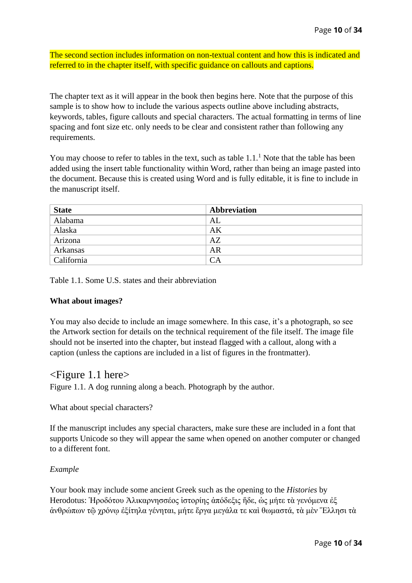The second section includes information on non-textual content and how this is indicated and referred to in the chapter itself, with specific guidance on callouts and captions.

The chapter text as it will appear in the book then begins here. Note that the purpose of this sample is to show how to include the various aspects outline above including abstracts, keywords, tables, figure callouts and special characters. The actual formatting in terms of line spacing and font size etc. only needs to be clear and consistent rather than following any requirements.

You may choose to refer to tables in the text, such as table  $1.1<sup>1</sup>$  Note that the table has been added using the insert table functionality within Word, rather than being an image pasted into the document. Because this is created using Word and is fully editable, it is fine to include in the manuscript itself.

| <b>State</b> | <b>Abbreviation</b> |
|--------------|---------------------|
| Alabama      | AL                  |
| Alaska       | AK                  |
| Arizona      | AZ                  |
| Arkansas     | AR                  |
| California   | $\bigcirc$ A        |

Table 1.1. Some U.S. states and their abbreviation

#### **What about images?**

You may also decide to include an image somewhere. In this case, it's a photograph, so see the Artwork section for details on the technical requirement of the file itself. The image file should not be inserted into the chapter, but instead flagged with a callout, along with a caption (unless the captions are included in a list of figures in the frontmatter).

### <Figure 1.1 here>

Figure 1.1. A dog running along a beach. Photograph by the author.

What about special characters?

If the manuscript includes any special characters, make sure these are included in a font that supports Unicode so they will appear the same when opened on another computer or changed to a different font.

#### *Example*

Your book may include some ancient Greek such as the opening to the *Histories* by Herodotus: Ηροδότου Άλικαρνησσέος ίστορίης ἀπόδεξις ήδε, ως μήτε τα γενόμενα εξ ἀνθρώπων τῷ χρόνῳ ἐξίτηλα γένηται, μήτε ἔργα μεγάλα τε καὶ θωμαστά, τὰ μὲν Ἕλλησι τὰ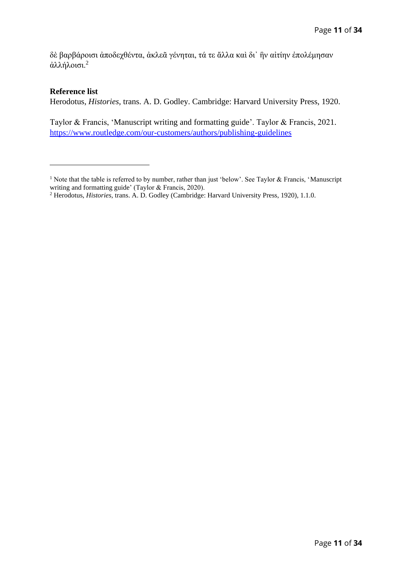δὲ βαρβάροισι ἀποδεχθέντα, ἀκλεᾶ γένηται, τά τε ἄλλα καὶ δι᾽ ἣν αἰτίην ἐπολέμησαν ἀλλήλοισι.<sup>2</sup>

#### **Reference list**

Herodotus, *Histories*, trans. A. D. Godley. Cambridge: Harvard University Press, 1920.

Taylor & Francis, 'Manuscript writing and formatting guide'. Taylor & Francis, 2021. <https://www.routledge.com/our-customers/authors/publishing-guidelines>

<sup>&</sup>lt;sup>1</sup> Note that the table is referred to by number, rather than just 'below'. See Taylor & Francis, 'Manuscript' writing and formatting guide' (Taylor & Francis, 2020).

<sup>2</sup> Herodotus, *Histories*, trans. A. D. Godley (Cambridge: Harvard University Press, 1920), 1.1.0.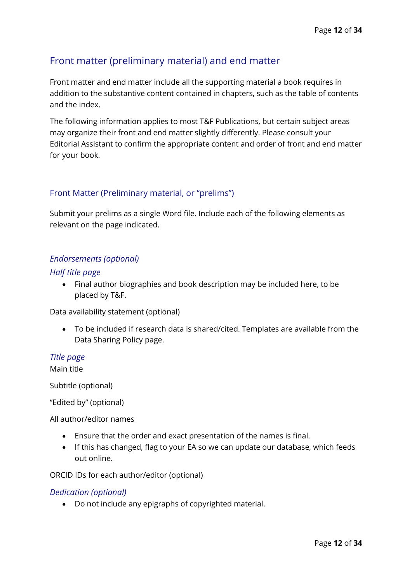# <span id="page-11-0"></span>Front matter (preliminary material) and end matter

Front matter and end matter include all the supporting material a book requires in addition to the substantive content contained in chapters, such as the table of contents and the index.

The following information applies to most T&F Publications, but certain subject areas may organize their front and end matter slightly differently. Please consult your Editorial Assistant to confirm the appropriate content and order of front and end matter for your book.

### Front Matter (Preliminary material, or "prelims")

Submit your prelims as a single Word file. Include each of the following elements as relevant on the page indicated.

## *Endorsements (optional)*

#### *Half title page*

• Final author biographies and book description may be included here, to be placed by T&F.

Data availability statement (optional)

• To be included if research data is shared/cited. Templates are available from the Data Sharing Policy page.

#### *Title page*

Main title

Subtitle (optional)

"Edited by" (optional)

All author/editor names

- Ensure that the order and exact presentation of the names is final.
- If this has changed, flag to your EA so we can update our database, which feeds out online.

ORCID IDs for each author/editor (optional)

#### *Dedication (optional)*

• Do not include any epigraphs of copyrighted material.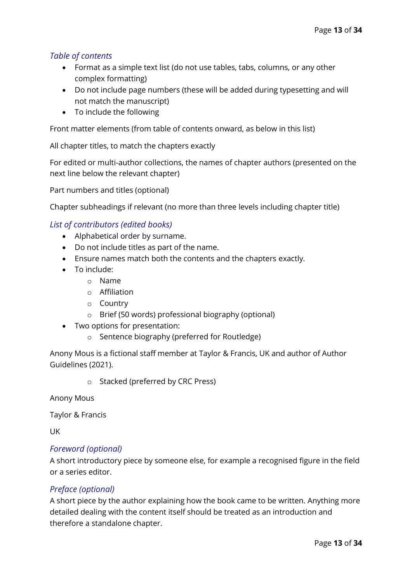## *Table of contents*

- Format as a simple text list (do not use tables, tabs, columns, or any other complex formatting)
- Do not include page numbers (these will be added during typesetting and will not match the manuscript)
- To include the following

Front matter elements (from table of contents onward, as below in this list)

All chapter titles, to match the chapters exactly

For edited or multi-author collections, the names of chapter authors (presented on the next line below the relevant chapter)

Part numbers and titles (optional)

Chapter subheadings if relevant (no more than three levels including chapter title)

#### *List of contributors (edited books)*

- Alphabetical order by surname.
- Do not include titles as part of the name.
- Ensure names match both the contents and the chapters exactly.
- To include:
	- o Name
	- o Affiliation
	- o Country
	- o Brief (50 words) professional biography (optional)
- Two options for presentation:
	- o Sentence biography (preferred for Routledge)

Anony Mous is a fictional staff member at Taylor & Francis, UK and author of Author Guidelines (2021).

o Stacked (preferred by CRC Press)

Anony Mous

Taylor & Francis

UK

#### *Foreword (optional)*

A short introductory piece by someone else, for example a recognised figure in the field or a series editor.

### *Preface (optional)*

A short piece by the author explaining how the book came to be written. Anything more detailed dealing with the content itself should be treated as an introduction and therefore a standalone chapter.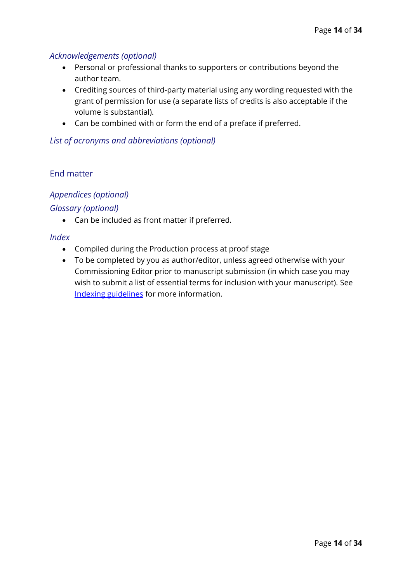### *Acknowledgements (optional)*

- Personal or professional thanks to supporters or contributions beyond the author team.
- Crediting sources of third-party material using any wording requested with the grant of permission for use (a separate lists of credits is also acceptable if the volume is substantial).
- Can be combined with or form the end of a preface if preferred.

### *List of acronyms and abbreviations (optional)*

## End matter

# *Appendices (optional)*

## *Glossary (optional)*

• Can be included as front matter if preferred.

### *Index*

- Compiled during the Production process at proof stage
- To be completed by you as author/editor, unless agreed otherwise with your Commissioning Editor prior to manuscript submission (in which case you may wish to submit a list of essential terms for inclusion with your manuscript). See Indexing guidelines for more information.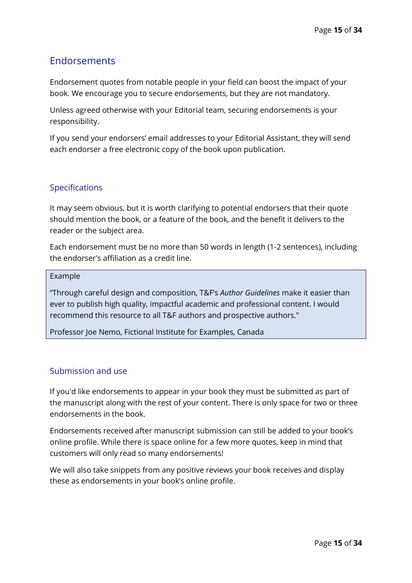# <span id="page-14-0"></span>Endorsements

Endorsement quotes from notable people in your field can boost the impact of your book. We encourage you to secure endorsements, but they are not mandatory.

Unless agreed otherwise with your Editorial team, securing endorsements is your responsibility.

If you send your endorsers' email addresses to your Editorial Assistant, they will send each endorser a free electronic copy of the book upon publication.

## Specifications

It may seem obvious, but it is worth clarifying to potential endorsers that their quote should mention the book, or a feature of the book, and the benefit it delivers to the reader or the subject area.

Each endorsement must be no more than 50 words in length (1-2 sentences), including the endorser's affiliation as a credit line.

#### Example

"Through careful design and composition, T&F's *Author Guidelines* make it easier than ever to publish high quality, impactful academic and professional content. I would recommend this resource to all T&F authors and prospective authors."

Professor Joe Nemo, Fictional Institute for Examples, Canada

### Submission and use

If you'd like endorsements to appear in your book they must be submitted as part of the manuscript along with the rest of your content. There is only space for two or three endorsements in the book.

Endorsements received after manuscript submission can still be added to your book's online profile. While there is space online for a few more quotes, keep in mind that customers will only read so many endorsements!

We will also take snippets from any positive reviews your book receives and display these as endorsements in your book's online profile.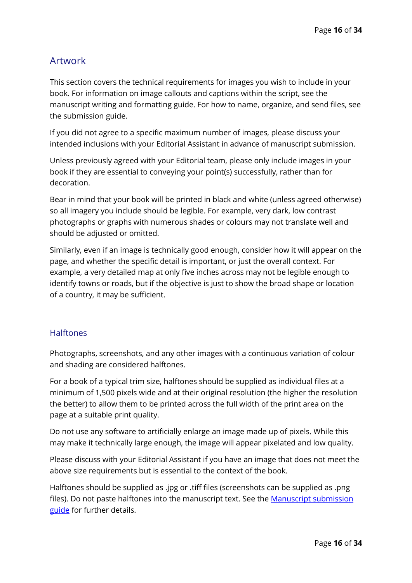# <span id="page-15-0"></span>Artwork

This section covers the technical requirements for images you wish to include in your book. For information on image callouts and captions within the script, see the manuscript writing and formatting guide. For how to name, organize, and send files, see the submission guide.

If you did not agree to a specific maximum number of images, please discuss your intended inclusions with your Editorial Assistant in advance of manuscript submission.

Unless previously agreed with your Editorial team, please only include images in your book if they are essential to conveying your point(s) successfully, rather than for decoration.

Bear in mind that your book will be printed in black and white (unless agreed otherwise) so all imagery you include should be legible. For example, very dark, low contrast photographs or graphs with numerous shades or colours may not translate well and should be adjusted or omitted.

Similarly, even if an image is technically good enough, consider how it will appear on the page, and whether the specific detail is important, or just the overall context. For example, a very detailed map at only five inches across may not be legible enough to identify towns or roads, but if the objective is just to show the broad shape or location of a country, it may be sufficient.

### **Halftones**

Photographs, screenshots, and any other images with a continuous variation of colour and shading are considered halftones.

For a book of a typical trim size, halftones should be supplied as individual files at a minimum of 1,500 pixels wide and at their original resolution (the higher the resolution the better) to allow them to be printed across the full width of the print area on the page at a suitable print quality.

Do not use any software to artificially enlarge an image made up of pixels. While this may make it technically large enough, the image will appear pixelated and low quality.

Please discuss with your Editorial Assistant if you have an image that does not meet the above size requirements but is essential to the context of the book.

Halftones should be supplied as .jpg or .tiff files (screenshots can be supplied as .png files). Do not paste halftones into the manuscript text. See the **Manuscript submission** [guide](https://tandfbis.s3-us-west-2.amazonaws.com/rt-files/AUTHOR/Guidelines/Manuscript+submission+guide.pdf) for further details.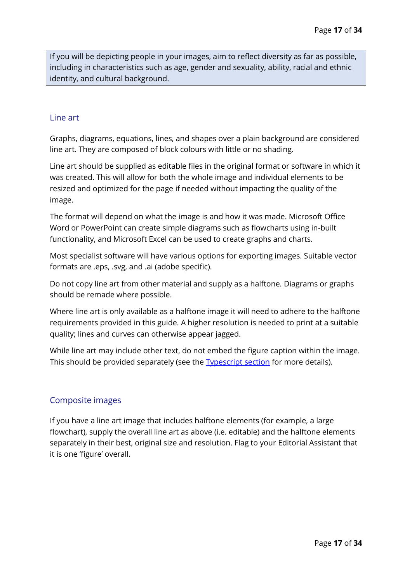If you will be depicting people in your images, aim to reflect diversity as far as possible, including in characteristics such as age, gender and sexuality, ability, racial and ethnic identity, and cultural background.

#### Line art

Graphs, diagrams, equations, lines, and shapes over a plain background are considered line art. They are composed of block colours with little or no shading.

Line art should be supplied as editable files in the original format or software in which it was created. This will allow for both the whole image and individual elements to be resized and optimized for the page if needed without impacting the quality of the image.

The format will depend on what the image is and how it was made. Microsoft Office Word or PowerPoint can create simple diagrams such as flowcharts using in-built functionality, and Microsoft Excel can be used to create graphs and charts.

Most specialist software will have various options for exporting images. Suitable vector formats are .eps, .svg, and .ai (adobe specific).

Do not copy line art from other material and supply as a halftone. Diagrams or graphs should be remade where possible.

Where line art is only available as a halftone image it will need to adhere to the halftone requirements provided in this guide. A higher resolution is needed to print at a suitable quality; lines and curves can otherwise appear jagged.

While line art may include other text, do not embed the figure caption within the image. This should be provided separately (see the [Typescript](#page-1-0) section for more details).

### Composite images

If you have a line art image that includes halftone elements (for example, a large flowchart), supply the overall line art as above (i.e. editable) and the halftone elements separately in their best, original size and resolution. Flag to your Editorial Assistant that it is one 'figure' overall.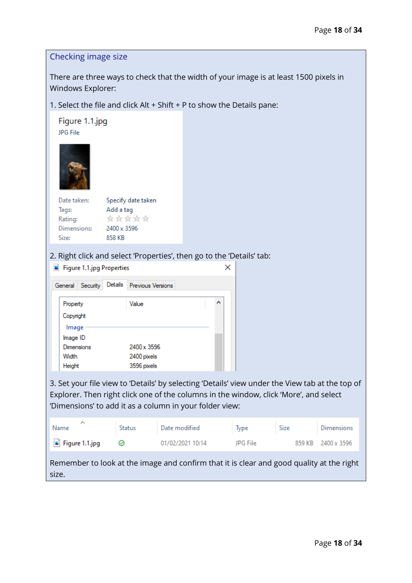## Checking image size

There are three ways to check that the width of your image is at least 1500 pixels in Windows Explorer:

1. Select the file and click Alt + Shift + P to show the Details pane:

| Figure 1.1.jpg<br><b>JPG File</b> |                    |
|-----------------------------------|--------------------|
|                                   |                    |
| Date taken:                       | Specify date taken |
| Tags:                             | Add a tag          |
| Rating:                           | *****              |
| Dimensions:                       | 2400 x 3596        |

Size: 858 KB

size.

2. Right click and select 'Properties', then go to the 'Details' tab:

|                     | Figure 1.1.jpg Properties |                   |  |   |
|---------------------|---------------------------|-------------------|--|---|
| Security<br>General | Details                   | Previous Versions |  |   |
| Property            |                           | Value             |  | ́ |
| Copyright           |                           |                   |  |   |
| Image               |                           |                   |  |   |
| Image ID            |                           |                   |  |   |
| <b>Dimensions</b>   |                           | 2400 x 3596       |  |   |
| Width               |                           | 2400 pixels       |  |   |
| Height              |                           | 3596 pixels       |  |   |

3. Set your file view to 'Details' by selecting 'Details' view under the View tab at the top of Explorer. Then right click one of the columns in the window, click 'More', and select 'Dimensions' to add it as a column in your folder view:

| ∧<br>Name                     | Status | Date modified                                                                            | Type     | Size | <b>Dimensions</b>  |
|-------------------------------|--------|------------------------------------------------------------------------------------------|----------|------|--------------------|
| $\blacksquare$ Figure 1.1.jpg | ☉      | 01/02/2021 10:14                                                                         | JPG File |      | 859 KB 2400 x 3596 |
|                               |        | Remember to look at the image and confirm that it is clear and good quality at the right |          |      |                    |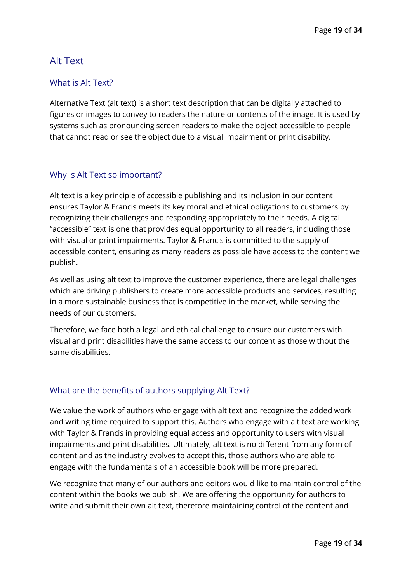# <span id="page-18-0"></span>Alt Text

## What is Alt Text?

Alternative Text (alt text) is a short text description that can be digitally attached to figures or images to convey to readers the nature or contents of the image. It is used by systems such as pronouncing screen readers to make the object accessible to people that cannot read or see the object due to a visual impairment or print disability.

## Why is Alt Text so important?

Alt text is a key principle of accessible publishing and its inclusion in our content ensures Taylor & Francis meets its key moral and ethical obligations to customers by recognizing their challenges and responding appropriately to their needs. A digital "accessible" text is one that provides equal opportunity to all readers, including those with visual or print impairments. Taylor & Francis is committed to the supply of accessible content, ensuring as many readers as possible have access to the content we publish.

As well as using alt text to improve the customer experience, there are legal challenges which are driving publishers to create more accessible products and services, resulting in a more sustainable business that is competitive in the market, while serving the needs of our customers.

Therefore, we face both a legal and ethical challenge to ensure our customers with visual and print disabilities have the same access to our content as those without the same disabilities.

# What are the benefits of authors supplying Alt Text?

We value the work of authors who engage with alt text and recognize the added work and writing time required to support this. Authors who engage with alt text are working with Taylor & Francis in providing equal access and opportunity to users with visual impairments and print disabilities. Ultimately, alt text is no different from any form of content and as the industry evolves to accept this, those authors who are able to engage with the fundamentals of an accessible book will be more prepared.

We recognize that many of our authors and editors would like to maintain control of the content within the books we publish. We are offering the opportunity for authors to write and submit their own alt text, therefore maintaining control of the content and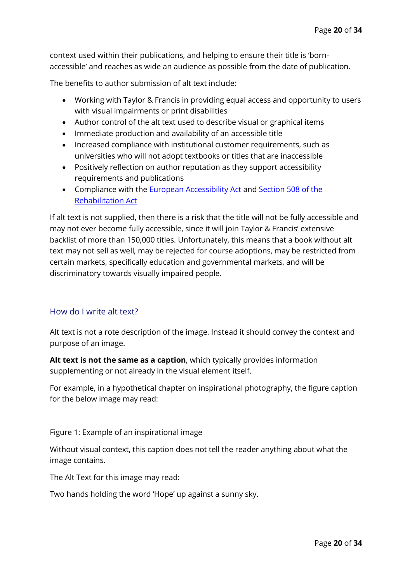context used within their publications, and helping to ensure their title is 'bornaccessible' and reaches as wide an audience as possible from the date of publication.

The benefits to author submission of alt text include:

- Working with Taylor & Francis in providing equal access and opportunity to users with visual impairments or print disabilities
- Author control of the alt text used to describe visual or graphical items
- Immediate production and availability of an accessible title
- Increased compliance with institutional customer requirements, such as universities who will not adopt textbooks or titles that are inaccessible
- Positively reflection on author reputation as they support accessibility requirements and publications
- Compliance with the [European Accessibility Act](http://www.edf-feph.org/european-accessibility-act-1) and [Section 508 of the](https://www.section508.gov/manage/laws-and-policies)  [Rehabilitation Act](https://www.section508.gov/manage/laws-and-policies)

If alt text is not supplied, then there is a risk that the title will not be fully accessible and may not ever become fully accessible, since it will join Taylor & Francis' extensive backlist of more than 150,000 titles. Unfortunately, this means that a book without alt text may not sell as well, may be rejected for course adoptions, may be restricted from certain markets, specifically education and governmental markets, and will be discriminatory towards visually impaired people.

### <span id="page-19-0"></span>How do I write alt text?

Alt text is not a rote description of the image. Instead it should convey the context and purpose of an image.

**Alt text is not the same as a caption**, which typically provides information supplementing or not already in the visual element itself.

For example, in a hypothetical chapter on inspirational photography, the figure caption for the below image may read:

Figure 1: Example of an inspirational image

Without visual context, this caption does not tell the reader anything about what the image contains.

The Alt Text for this image may read:

Two hands holding the word 'Hope' up against a sunny sky.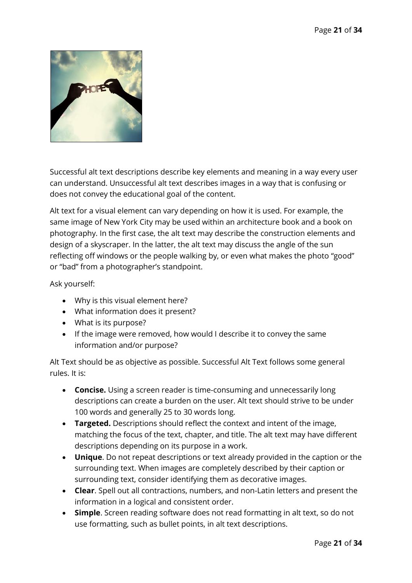

Successful alt text descriptions describe key elements and meaning in a way every user can understand. Unsuccessful alt text describes images in a way that is confusing or does not convey the educational goal of the content.

Alt text for a visual element can vary depending on how it is used. For example, the same image of New York City may be used within an architecture book and a book on photography. In the first case, the alt text may describe the construction elements and design of a skyscraper. In the latter, the alt text may discuss the angle of the sun reflecting off windows or the people walking by, or even what makes the photo "good" or "bad" from a photographer's standpoint.

Ask yourself:

- Why is this visual element here?
- What information does it present?
- What is its purpose?
- If the image were removed, how would I describe it to convey the same information and/or purpose?

Alt Text should be as objective as possible. Successful Alt Text follows some general rules. It is:

- **Concise.** Using a screen reader is time-consuming and unnecessarily long descriptions can create a burden on the user. Alt text should strive to be under 100 words and generally 25 to 30 words long.
- **Targeted.** Descriptions should reflect the context and intent of the image, matching the focus of the text, chapter, and title. The alt text may have different descriptions depending on its purpose in a work.
- **Unique**. Do not repeat descriptions or text already provided in the caption or the surrounding text. When images are completely described by their caption or surrounding text, consider identifying them as decorative images.
- **Clear**. Spell out all contractions, numbers, and non-Latin letters and present the information in a logical and consistent order.
- **Simple**. Screen reading software does not read formatting in alt text, so do not use formatting, such as bullet points, in alt text descriptions.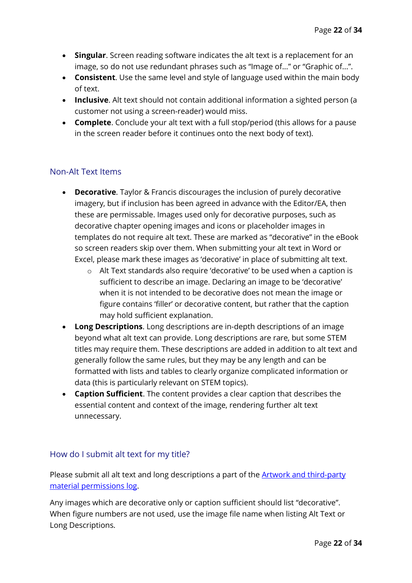- **Singular**. Screen reading software indicates the alt text is a replacement for an image, so do not use redundant phrases such as "Image of..." or "Graphic of...".
- **Consistent**. Use the same level and style of language used within the main body of text.
- **Inclusive**. Alt text should not contain additional information a sighted person (a customer not using a screen-reader) would miss.
- **Complete**. Conclude your alt text with a full stop/period (this allows for a pause in the screen reader before it continues onto the next body of text).

## Non-Alt Text Items

- **Decorative**. Taylor & Francis discourages the inclusion of purely decorative imagery, but if inclusion has been agreed in advance with the Editor/EA, then these are permissable. Images used only for decorative purposes, such as decorative chapter opening images and icons or placeholder images in templates do not require alt text. These are marked as "decorative" in the eBook so screen readers skip over them. When submitting your alt text in Word or Excel, please mark these images as 'decorative' in place of submitting alt text.
	- o Alt Text standards also require 'decorative' to be used when a caption is sufficient to describe an image. Declaring an image to be 'decorative' when it is not intended to be decorative does not mean the image or figure contains 'filler' or decorative content, but rather that the caption may hold sufficient explanation.
- **Long Descriptions**. Long descriptions are in-depth descriptions of an image beyond what alt text can provide. Long descriptions are rare, but some STEM titles may require them. These descriptions are added in addition to alt text and generally follow the same rules, but they may be any length and can be formatted with lists and tables to clearly organize complicated information or data (this is particularly relevant on STEM topics).
- **Caption Sufficient**. The content provides a clear caption that describes the essential content and context of the image, rendering further alt text unnecessary.

### How do I submit alt text for my title?

Please submit all alt text and long descriptions a part of the **Artwork and third-party** [material permissions log.](https://tandfbis.s3-us-west-2.amazonaws.com/rt-files/AUTHOR/Guidelines/Artwork+and+third-party+material+permissions+log.xlsx)

Any images which are decorative only or caption sufficient should list "decorative". When figure numbers are not used, use the image file name when listing Alt Text or Long Descriptions.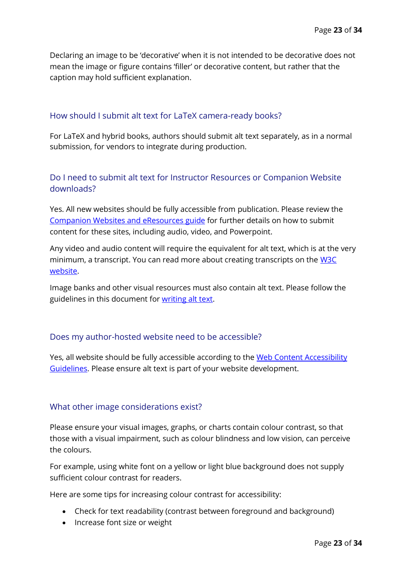Declaring an image to be 'decorative' when it is not intended to be decorative does not mean the image or figure contains 'filler' or decorative content, but rather that the caption may hold sufficient explanation.

### How should I submit alt text for LaTeX camera-ready books?

For LaTeX and hybrid books, authors should submit alt text separately, as in a normal submission, for vendors to integrate during production.

## Do I need to submit alt text for Instructor Resources or Companion Website downloads?

Yes. All new websites should be fully accessible from publication. Please review the [Companion Websites and eResources guide](https://tandfbis.s3-us-west-2.amazonaws.com/rt-files/AUTHOR/Guidelines/Companion+websites+and+eResources.pdf%0d) for further details on how to submit content for these sites, including audio, video, and Powerpoint.

Any video and audio content will require the equivalent for alt text, which is at the very minimum, a transcript. You can read more about creating transcripts on the W3C [website.](https://www.w3.org/WAI/media/av/transcripts/#process---skills-and-tools)

Image banks and other visual resources must also contain alt text. Please follow the guidelines in this document for [writing alt text.](#page-19-0)

### Does my author-hosted website need to be accessible?

Yes, all website should be fully accessible according to the Web Content Accessibility [Guidelines.](https://www.w3.org/WAI/standards-guidelines/wcag/) Please ensure alt text is part of your website development.

### What other image considerations exist?

Please ensure your visual images, graphs, or charts contain colour contrast, so that those with a visual impairment, such as colour blindness and low vision, can perceive the colours.

For example, using white font on a yellow or light blue background does not supply sufficient colour contrast for readers.

Here are some tips for increasing colour contrast for accessibility:

- Check for text readability (contrast between foreground and background)
- Increase font size or weight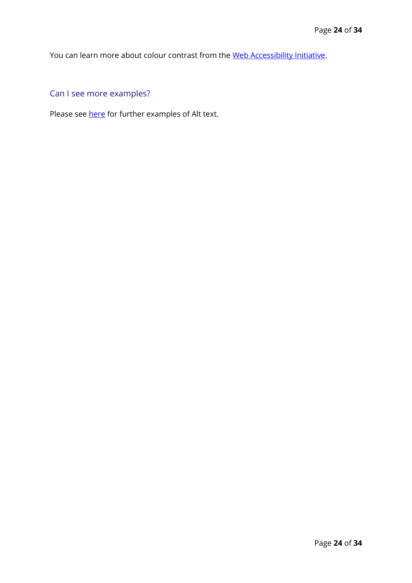You can learn more about colour contrast from the [Web Accessibility Initiative.](https://www.w3.org/WAI/perspective-videos/contrast/)

Can I see more examples?

Please see [here](https://tandfbis.s3-us-west-2.amazonaws.com/rt-files/AUTHOR/Guidelines/Alt+text+guide.pdf) for further examples of Alt text.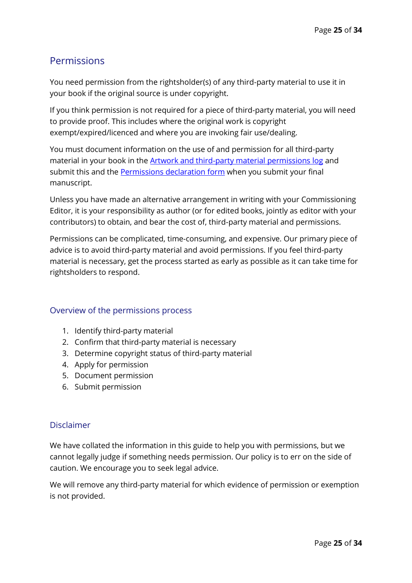# <span id="page-24-0"></span>**Permissions**

You need permission from the rightsholder(s) of any third-party material to use it in your book if the original source is under copyright.

If you think permission is not required for a piece of third-party material, you will need to provide proof. This includes where the original work is copyright exempt/expired/licenced and where you are invoking fair use/dealing.

You must document information on the use of and permission for all third-party material in your book in the **Artwork and third-party material permissions log** and submit this and the **Permissions declaration form** when you submit your final manuscript.

Unless you have made an alternative arrangement in writing with your Commissioning Editor, it is your responsibility as author (or for edited books, jointly as editor with your contributors) to obtain, and bear the cost of, third-party material and permissions.

Permissions can be complicated, time-consuming, and expensive. Our primary piece of advice is to avoid third-party material and avoid permissions. If you feel third-party material is necessary, get the process started as early as possible as it can take time for rightsholders to respond.

### Overview of the permissions process

- 1. Identify third-party material
- 2. Confirm that third-party material is necessary
- 3. Determine copyright status of third-party material
- 4. Apply for permission
- 5. Document permission
- 6. Submit permission

#### Disclaimer

We have collated the information in this guide to help you with permissions, but we cannot legally judge if something needs permission. Our policy is to err on the side of caution. We encourage you to seek legal advice.

We will remove any third-party material for which evidence of permission or exemption is not provided.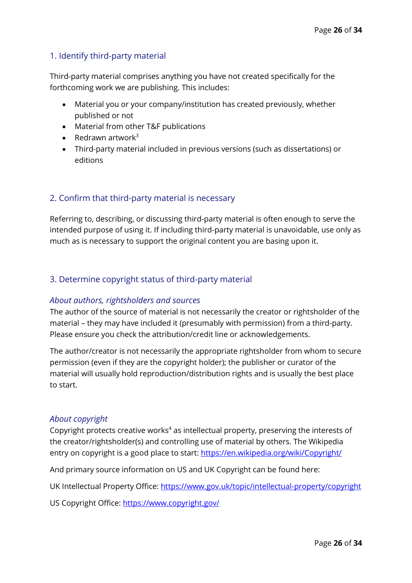## 1. Identify third-party material

Third-party material comprises anything you have not created specifically for the forthcoming work we are publishing. This includes:

- Material you or your company/institution has created previously, whether published or not
- Material from other T&F publications
- Redrawn artwork $3$
- Third-party material included in previous versions (such as dissertations) or editions

# 2. Confirm that third-party material is necessary

Referring to, describing, or discussing third-party material is often enough to serve the intended purpose of using it. If including third-party material is unavoidable, use only as much as is necessary to support the original content you are basing upon it.

### 3. Determine copyright status of third-party material

### *About authors, rightsholders and sources*

The author of the source of material is not necessarily the creator or rightsholder of the material – they may have included it (presumably with permission) from a third-party. Please ensure you check the attribution/credit line or acknowledgements.

The author/creator is not necessarily the appropriate rightsholder from whom to secure permission (even if they are the copyright holder); the publisher or curator of the material will usually hold reproduction/distribution rights and is usually the best place to start.

#### *About copyright*

Copyright protects creative works<sup>4</sup> as intellectual property, preserving the interests of the creator/rightsholder(s) and controlling use of material by others. The Wikipedia entry on copyright is a good place to start:<https://en.wikipedia.org/wiki/Copyright/>

And primary source information on US and UK Copyright can be found here:

UK Intellectual Property Office:<https://www.gov.uk/topic/intellectual-property/copyright>

US Copyright Office:<https://www.copyright.gov/>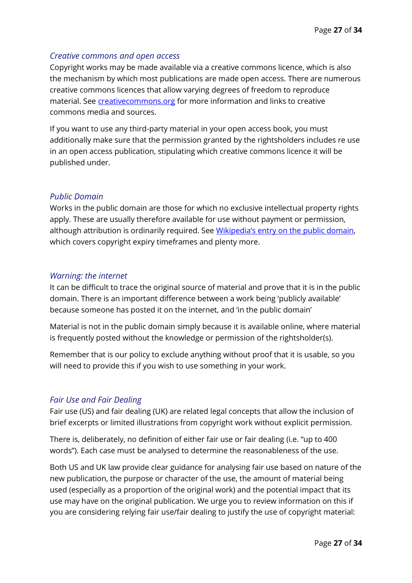#### *Creative commons and open access*

Copyright works may be made available via a creative commons licence, which is also the mechanism by which most publications are made open access. There are numerous creative commons licences that allow varying degrees of freedom to reproduce material. See *creativecommons.org* for more information and links to creative commons media and sources.

If you want to use any third-party material in your open access book, you must additionally make sure that the permission granted by the rightsholders includes re use in an open access publication, stipulating which creative commons licence it will be published under.

#### *Public Domain*

Works in the public domain are those for which no exclusive intellectual property rights apply. These are usually therefore available for use without payment or permission, although attribution is ordinarily required. See [Wikipedia's entry on the public domain](https://en.wikipedia.org/wiki/Public_domain), which covers copyright expiry timeframes and plenty more.

#### *Warning: the internet*

It can be difficult to trace the original source of material and prove that it is in the public domain. There is an important difference between a work being 'publicly available' because someone has posted it on the internet, and 'in the public domain'

Material is not in the public domain simply because it is available online, where material is frequently posted without the knowledge or permission of the rightsholder(s).

Remember that is our policy to exclude anything without proof that it is usable, so you will need to provide this if you wish to use something in your work.

### *Fair Use and Fair Dealing*

Fair use (US) and fair dealing (UK) are related legal concepts that allow the inclusion of brief excerpts or limited illustrations from copyright work without explicit permission.

There is, deliberately, no definition of either fair use or fair dealing (i.e. "up to 400 words"). Each case must be analysed to determine the reasonableness of the use.

Both US and UK law provide clear guidance for analysing fair use based on nature of the new publication, the purpose or character of the use, the amount of material being used (especially as a proportion of the original work) and the potential impact that its use may have on the original publication. We urge you to review information on this if you are considering relying fair use/fair dealing to justify the use of copyright material: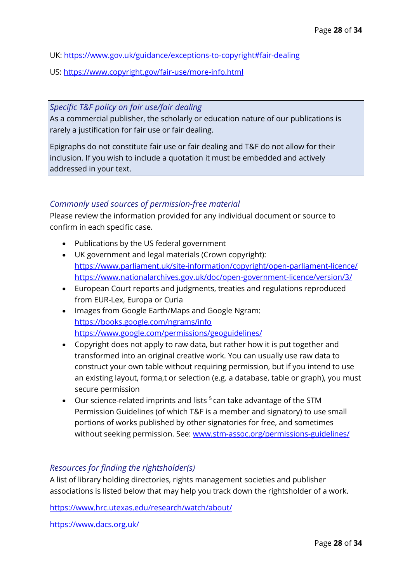UK:<https://www.gov.uk/guidance/exceptions-to-copyright#fair-dealing>

US:<https://www.copyright.gov/fair-use/more-info.html>

*Specific T&F policy on fair use/fair dealing*

As a commercial publisher, the scholarly or education nature of our publications is rarely a justification for fair use or fair dealing.

Epigraphs do not constitute fair use or fair dealing and T&F do not allow for their inclusion. If you wish to include a quotation it must be embedded and actively addressed in your text.

### *Commonly used sources of permission-free material*

Please review the information provided for any individual document or source to confirm in each specific case.

- Publications by the US federal government
- UK government and legal materials (Crown copyright): <https://www.parliament.uk/site-information/copyright/open-parliament-licence/> <https://www.nationalarchives.gov.uk/doc/open-government-licence/version/3/>
- European Court reports and judgments, treaties and regulations reproduced from EUR-Lex, Europa or Curia
- Images from Google Earth/Maps and Google Ngram: <https://books.google.com/ngrams/info> <https://www.google.com/permissions/geoguidelines/>
- Copyright does not apply to raw data, but rather how it is put together and transformed into an original creative work. You can usually use raw data to construct your own table without requiring permission, but if you intend to use an existing layout, forma,t or selection (e.g. a database, table or graph), you must secure permission
- Our science-related imprints and lists  $5$  can take advantage of the STM Permission Guidelines (of which T&F is a member and signatory) to use small portions of works published by other signatories for free, and sometimes without seeking permission. See: [www.stm-assoc.org/permissions-guidelines/](http://www.stm-assoc.org/permissions-guidelines/)

# *Resources for finding the rightsholder(s)*

A list of library holding directories, rights management societies and publisher associations is listed below that may help you track down the rightsholder of a work.

<https://www.hrc.utexas.edu/research/watch/about/>

<https://www.dacs.org.uk/>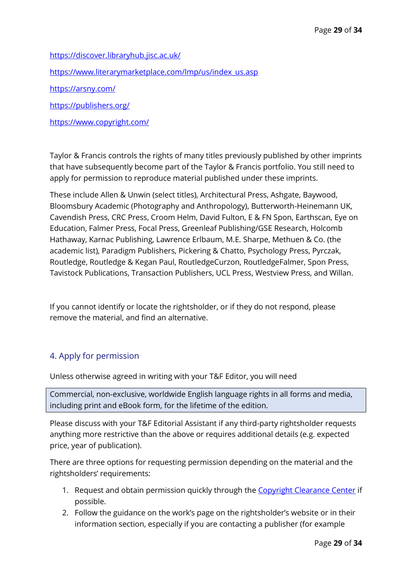<https://discover.libraryhub.jisc.ac.uk/> [https://www.literarymarketplace.com/lmp/us/index\\_us.asp](https://www.literarymarketplace.com/lmp/us/index_us.asp) <https://arsny.com/>

<https://publishers.org/>

<https://www.copyright.com/>

Taylor & Francis controls the rights of many titles previously published by other imprints that have subsequently become part of the Taylor & Francis portfolio. You still need to apply for permission to reproduce material published under these imprints.

These include Allen & Unwin (select titles), Architectural Press, Ashgate, Baywood, Bloomsbury Academic (Photography and Anthropology), Butterworth-Heinemann UK, Cavendish Press, CRC Press, Croom Helm, David Fulton, E & FN Spon, Earthscan, Eye on Education, Falmer Press, Focal Press, Greenleaf Publishing/GSE Research, Holcomb Hathaway, Karnac Publishing, Lawrence Erlbaum, M.E. Sharpe, Methuen & Co. (the academic list), Paradigm Publishers, Pickering & Chatto, Psychology Press, Pyrczak, Routledge, Routledge & Kegan Paul, RoutledgeCurzon, RoutledgeFalmer, Spon Press, Tavistock Publications, Transaction Publishers, UCL Press, Westview Press, and Willan.

If you cannot identify or locate the rightsholder, or if they do not respond, please remove the material, and find an alternative.

# 4. Apply for permission

Unless otherwise agreed in writing with your T&F Editor, you will need

Commercial, non-exclusive, worldwide English language rights in all forms and media, including print and eBook form, for the lifetime of the edition.

Please discuss with your T&F Editorial Assistant if any third-party rightsholder requests anything more restrictive than the above or requires additional details (e.g. expected price, year of publication).

There are three options for requesting permission depending on the material and the rightsholders' requirements:

- 1. Request and obtain permission quickly through the [Copyright Clearance Center](https://www.copyright.com/) if possible.
- 2. Follow the guidance on the work's page on the rightsholder's website or in their information section, especially if you are contacting a publisher (for example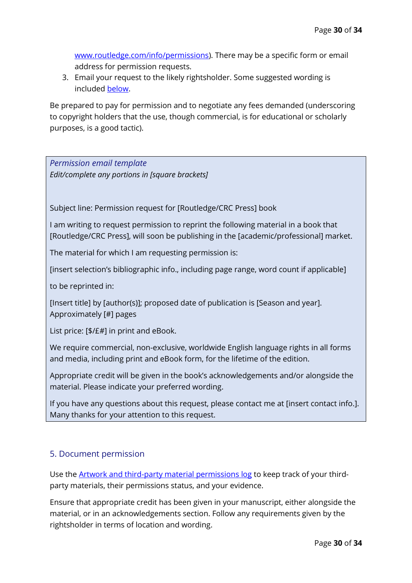[www.routledge.com/info/permissions\)](http://www.routledge.com/info/permissions). There may be a specific form or email address for permission requests.

3. Email your request to the likely rightsholder. Some suggested wording is included [below.](#page-29-0)

Be prepared to pay for permission and to negotiate any fees demanded (underscoring to copyright holders that the use, though commercial, is for educational or scholarly purposes, is a good tactic).

<span id="page-29-0"></span>*Permission email template Edit/complete any portions in [square brackets]*

Subject line: Permission request for [Routledge/CRC Press] book

I am writing to request permission to reprint the following material in a book that [Routledge/CRC Press], will soon be publishing in the [academic/professional] market.

The material for which I am requesting permission is:

[insert selection's bibliographic info., including page range, word count if applicable]

to be reprinted in:

[Insert title] by [author(s)]; proposed date of publication is [Season and year]. Approximately [#] pages

List price: [\$/£#] in print and eBook.

We require commercial, non-exclusive, worldwide English language rights in all forms and media, including print and eBook form, for the lifetime of the edition.

Appropriate credit will be given in the book's acknowledgements and/or alongside the material. Please indicate your preferred wording.

If you have any questions about this request, please contact me at [insert contact info.]. Many thanks for your attention to this request.

# 5. Document permission

Use the [Artwork and third-party material permissions log](https://tandfbis.s3-us-west-2.amazonaws.com/rt-files/AUTHOR/Guidelines/Artwork+and+third-party+material+permissions+log.xlsx) to keep track of your thirdparty materials, their permissions status, and your evidence.

Ensure that appropriate credit has been given in your manuscript, either alongside the material, or in an acknowledgements section. Follow any requirements given by the rightsholder in terms of location and wording.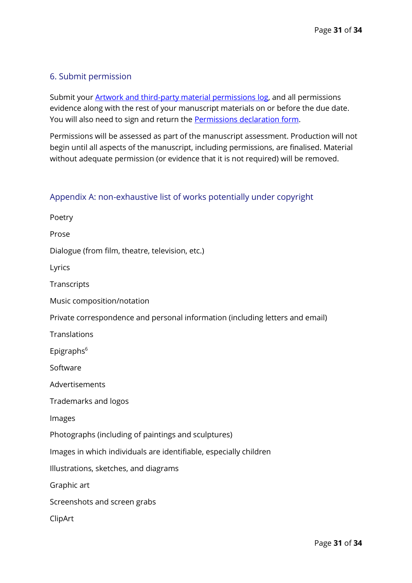## 6. Submit permission

Submit your **Artwork and third-party material permissions log**, and all permissions evidence along with the rest of your manuscript materials on or before the due date. You will also need to sign and return the [Permissions declaration form.](https://tandfbis.s3-us-west-2.amazonaws.com/rt-files/AUTHOR/Guidelines/Permissions+declaration+form.docx)

Permissions will be assessed as part of the manuscript assessment. Production will not begin until all aspects of the manuscript, including permissions, are finalised. Material without adequate permission (or evidence that it is not required) will be removed.

#### <span id="page-30-0"></span>Appendix A: non-exhaustive list of works potentially under copyright

| Poetry                                                                        |
|-------------------------------------------------------------------------------|
| Prose                                                                         |
| Dialogue (from film, theatre, television, etc.)                               |
| Lyrics                                                                        |
| Transcripts                                                                   |
| Music composition/notation                                                    |
| Private correspondence and personal information (including letters and email) |
| Translations                                                                  |
| Epigraphs <sup>6</sup>                                                        |
| Software                                                                      |
| Advertisements                                                                |
| Trademarks and logos                                                          |
| Images                                                                        |
| Photographs (including of paintings and sculptures)                           |
| Images in which individuals are identifiable, especially children             |
| Illustrations, sketches, and diagrams                                         |
| Graphic art                                                                   |
| Screenshots and screen grabs                                                  |
| ClipArt                                                                       |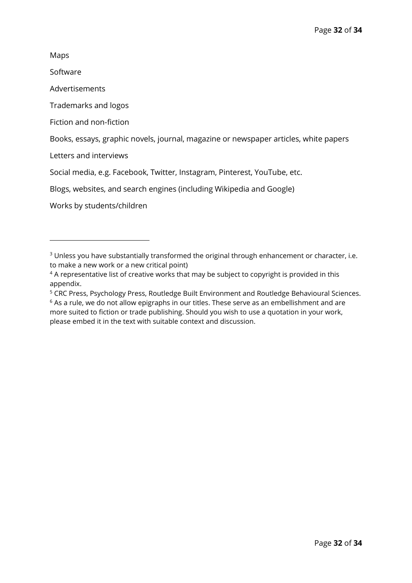Maps

Software

Advertisements

Trademarks and logos

Fiction and non-fiction

Books, essays, graphic novels, journal, magazine or newspaper articles, white papers

Letters and interviews

Social media, e.g. Facebook, Twitter, Instagram, Pinterest, YouTube, etc.

Blogs, websites, and search engines (including Wikipedia and Google)

Works by students/children

<sup>&</sup>lt;sup>3</sup> Unless you have substantially transformed the original through enhancement or character, i.e. to make a new work or a new critical point)

<sup>&</sup>lt;sup>4</sup> A representative list of creative works that may be subject to copyright is provided in this [appendix.](#page-30-0)

<sup>&</sup>lt;sup>5</sup> CRC Press, Psychology Press, Routledge Built Environment and Routledge Behavioural Sciences.

 $6$  As a rule, we do not allow epigraphs in our titles. These serve as an embellishment and are more suited to fiction or trade publishing. Should you wish to use a quotation in your work, please embed it in the text with suitable context and discussion.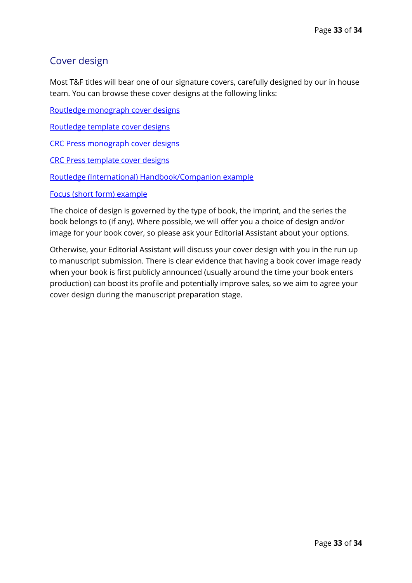# <span id="page-32-0"></span>Cover design

Most T&F titles will bear one of our signature covers, carefully designed by our in house team. You can browse these cover designs at the following links:

[Routledge monograph](https://tandfbis.s3-us-west-2.amazonaws.com/rt-files/AUTHOR/Guidelines/Routledge+monograph+cover+designs.jpg) cover designs

[Routledge template cover designs](https://tandfbis.s3-us-west-2.amazonaws.com/rt-files/AUTHOR/Guidelines/Routledge+template+cover+designs.jpg)

[CRC Press monograph](https://tandfbis.s3-us-west-2.amazonaws.com/rt-files/AUTHOR/Guidelines/CRC+Press+monograph+cover+designs.jpg) cover designs

[CRC Press template cover designs](https://tandfbis.s3-us-west-2.amazonaws.com/rt-files/AUTHOR/Guidelines/CRC+Press+template+cover+designs.jpg)

[Routledge \(International\) Handbook/Companion example](https://www.routledge.com/Routledge-Handbook-of-Feminist-Peace-Research/Vayrynen-Parashar-Feron-Confortini/p/book/9780367109844)

[Focus \(short form\) example](https://www.routledge.com/Fake-News-Falsehood-Fabrication-and-Fantasy-in-Journalism/McNair/p/book/9781138306790)

The choice of design is governed by the type of book, the imprint, and the series the book belongs to (if any). Where possible, we will offer you a choice of design and/or image for your book cover, so please ask your Editorial Assistant about your options.

Otherwise, your Editorial Assistant will discuss your cover design with you in the run up to manuscript submission. There is clear evidence that having a book cover image ready when your book is first publicly announced (usually around the time your book enters production) can boost its profile and potentially improve sales, so we aim to agree your cover design during the manuscript preparation stage.